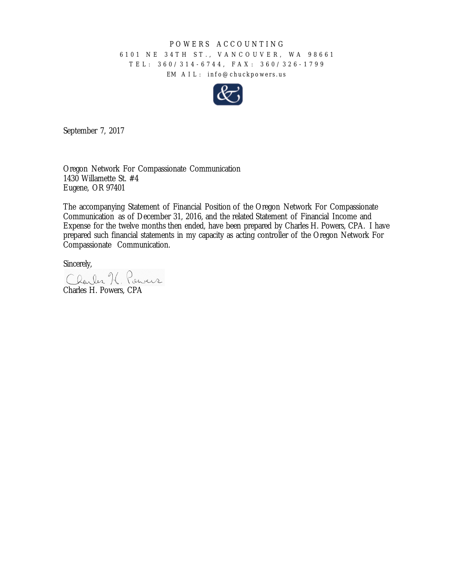## POWERS ACCOUNTING

## 6101 NE 34TH ST., VANCOUVER, WA 98661 TEL: 360/314 - 6744, F AX: 360/326 - 1799 EM AIL: info@chuckpowers.us



September 7, 2017

Oregon Network For Compassionate Communication 1430 Willamette St. #4 Eugene, OR 97401

The accompanying Statement of Financial Position of the Oregon Network For Compassionate Communication as of December 31, 2016, and the related Statement of Financial Income and Expense for the twelve months then ended, have been prepared by Charles H. Powers, CPA. I have prepared such financial statements in my capacity as acting controller of the Oregon Network For Compassionate Communication.

Sincerely,

Charles K, Powers Charles H. Powers, CPA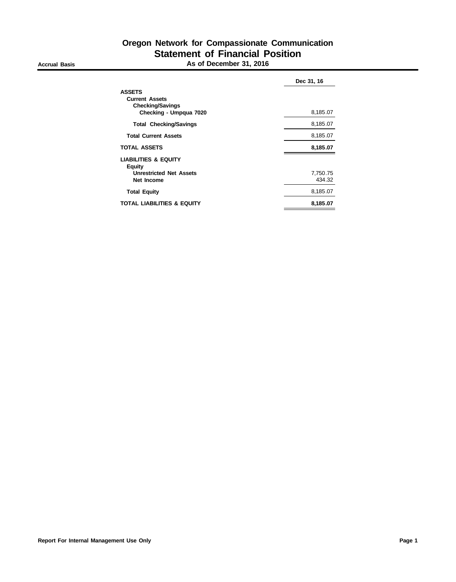|                                                                                                  | Dec 31, 16         |
|--------------------------------------------------------------------------------------------------|--------------------|
| <b>ASSETS</b><br><b>Current Assets</b><br><b>Checking/Savings</b><br>Checking - Umpqua 7020      | 8,185.07           |
| <b>Total Checking/Savings</b>                                                                    | 8,185.07           |
| <b>Total Current Assets</b>                                                                      | 8,185.07           |
| <b>TOTAL ASSETS</b>                                                                              | 8,185.07           |
| <b>LIABILITIES &amp; EQUITY</b><br><b>Equity</b><br><b>Unrestricted Net Assets</b><br>Net Income | 7,750.75<br>434.32 |
| <b>Total Equity</b>                                                                              | 8,185.07           |
| TOTAL LIABILITIES & EQUITY                                                                       | 8,185.07           |